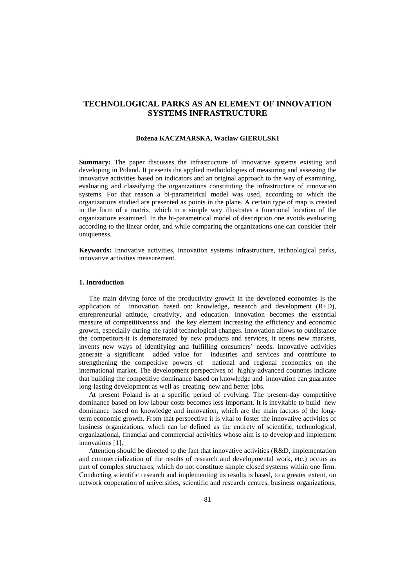# **TECHNOLOGICAL PARKS AS AN ELEMENT OF INNOVATION SYSTEMS INFRASTRUCTURE**

### **Bożena KACZMARSKA, Wacław GIERULSKI**

**Summary:** The paper discusses the infrastructure of innovative systems existing and developing in Poland. It presents the applied methodologies of measuring and assessing the innovative activities based on indicators and an original approach to the way of examining, evaluating and classifying the organizations constituting the infrastructure of innovation systems. For that reason a bi-parametrical model was used, according to which the organizations studied are presented as points in the plane. A certain type of map is created in the form of a matrix, which in a simple way illustrates a functional location of the organizations examined. In the bi-parametrical model of description one avoids evaluating according to the linear order, and while comparing the organizations one can consider their uniqueness.

**Keywords:** Innovative activities, innovation systems infrastructure, technological parks, innovative activities measurement.

## **1. Introduction**

The main driving force of the productivity growth in the developed economies is the application of innovation based on: knowledge, research and development (R+D), entrepreneurial attitude, creativity, and education. Innovation becomes the essential measure of competitiveness and the key element increasing the efficiency and economic growth, especially during the rapid technological changes. Innovation allows to outdistance the competitors-it is demonstrated by new products and services, it opens new markets, invents new ways of identifying and fulfilling consumers' needs. Innovative activities generate a significant added value for industries and services and contribute to strengthening the competitive powers of national and regional economies on the international market. The development perspectives of highly-advanced countries indicate that building the competitive dominance based on knowledge and innovation can guarantee long-lasting development as well as creating new and better jobs.

At present Poland is at a specific period of evolving. The present-day competitive dominance based on low labour costs becomes less important. It is inevitable to build new dominance based on knowledge and innovation, which are the main factors of the longterm economic growth. From that perspective it is vital to foster the innovative activities of business organizations, which can be defined as the entirety of scientific, technological, organizational, financial and commercial activities whose aim is to develop and implement innovations [1].

Attention should be directed to the fact that innovative activities (R&D, implementation and commercialization of the results of research and developmental work, etc.) occurs as part of complex structures, which do not constitute simple closed systems within one firm. Conducting scientific research and implementing its results is based, to a greater extent, on network cooperation of universities, scientific and research centres, business organizations,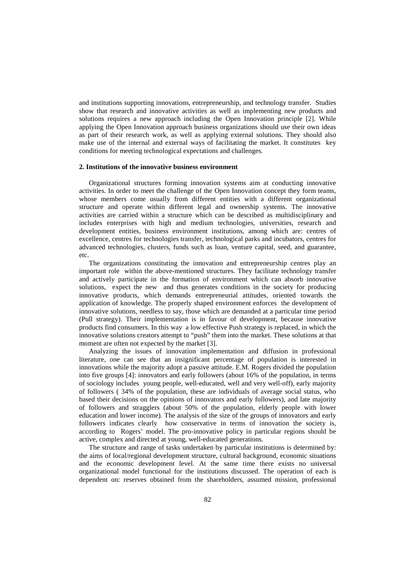and institutions supporting innovations, entrepreneurship, and technology transfer. Studies show that research and innovative activities as well as implementing new products and solutions requires a new approach including the Open Innovation principle [2]. While applying the Open Innovation approach business organizations should use their own ideas as part of their research work, as well as applying external solutions. They should also make use of the internal and external ways of facilitating the market. It constitutes key conditions for meeting technological expectations and challenges.

### **2. Institutions of the innovative business environment**

Organizational structures forming innovation systems aim at conducting innovative activities. In order to meet the challenge of the Open Innovation concept they form teams, whose members come usually from different entities with a different organizational structure and operate within different legal and ownership systems. The innovative activities are carried within a structure which can be described as multidisciplinary and includes enterprises with high and medium technologies, universities, research and development entities, business environment institutions, among which are: centres of excellence, centres for technologies transfer, technological parks and incubators, centres for advanced technologies, clusters, funds such as loan, venture capital, seed, and guarantee, etc.

The organizations constituting the innovation and entrepreneurship centres play an important role within the above-mentioned structures. They facilitate technology transfer and actively participate in the formation of environment which can absorb innovative solutions, expect the new and thus generates conditions in the society for producing innovative products, which demands entrepreneurial attitudes, oriented towards the application of knowledge. The properly shaped environment enforces the development of innovative solutions, needless to say, those which are demanded at a particular time period (Pull strategy). Their implementation is in favour of development, because innovative products find consumers. In this way a low effective Push strategy is replaced, in which the innovative solutions creators attempt to "push" them into the market. These solutions at that moment are often not expected by the market [3].

Analyzing the issues of innovation implementation and diffusion in professional literature, one can see that an insignificant percentage of population is interested in innovations while the majority adopt a passive attitude. E.M. Rogers divided the population into five groups [4]: innovators and early followers (about 16% of the population, in terms of sociology includes young people, well-educated, well and very well-off), early majority of followers ( 34% of the population, these are individuals of average social status, who based their decisions on the opinions of innovators and early followers), and late majority of followers and stragglers (about 50% of the population, elderly people with lower education and lower income). The analysis of the size of the groups of innovators and early followers indicates clearly how conservative in terms of innovation the society is, according to Rogers' model. The pro-innovative policy in particular regions should be active, complex and directed at young, well-educated generations.

The structure and range of tasks undertaken by particular institutions is determined by: the aims of local/regional development structure, cultural background, economic situations and the economic development level. At the same time there exists no universal organizational model functional for the institutions discussed. The operation of each is dependent on: reserves obtained from the shareholders, assumed mission, professional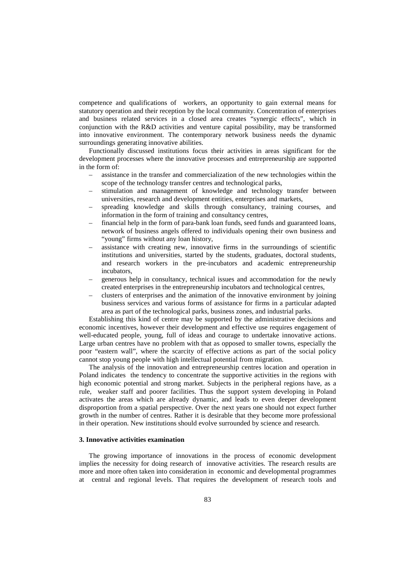competence and qualifications of workers, an opportunity to gain external means for statutory operation and their reception by the local community. Concentration of enterprises and business related services in a closed area creates "synergic effects", which in conjunction with the R&D activities and venture capital possibility, may be transformed into innovative environment. The contemporary network business needs the dynamic surroundings generating innovative abilities.

Functionally discussed institutions focus their activities in areas significant for the development processes where the innovative processes and entrepreneurship are supported in the form of:

- assistance in the transfer and commercialization of the new technologies within the scope of the technology transfer centres and technological parks,
- stimulation and management of knowledge and technology transfer between universities, research and development entities, enterprises and markets,
- spreading knowledge and skills through consultancy, training courses, and information in the form of training and consultancy centres,
- financial help in the form of para-bank loan funds, seed funds and guaranteed loans, network of business angels offered to individuals opening their own business and "young" firms without any loan history,
- assistance with creating new, innovative firms in the surroundings of scientific institutions and universities, started by the students, graduates, doctoral students, and research workers in the pre-incubators and academic entrepreneurship incubators,
- generous help in consultancy, technical issues and accommodation for the newly created enterprises in the entrepreneurship incubators and technological centres,
- clusters of enterprises and the animation of the innovative environment by joining business services and various forms of assistance for firms in a particular adapted area as part of the technological parks, business zones, and industrial parks.

Establishing this kind of centre may be supported by the administrative decisions and economic incentives, however their development and effective use requires engagement of well-educated people, young, full of ideas and courage to undertake innovative actions. Large urban centres have no problem with that as opposed to smaller towns, especially the poor "eastern wall", where the scarcity of effective actions as part of the social policy cannot stop young people with high intellectual potential from migration.

The analysis of the innovation and entrepreneurship centres location and operation in Poland indicates the tendency to concentrate the supportive activities in the regions with high economic potential and strong market. Subjects in the peripheral regions have, as a rule, weaker staff and poorer facilities. Thus the support system developing in Poland activates the areas which are already dynamic, and leads to even deeper development disproportion from a spatial perspective. Over the next years one should not expect further growth in the number of centres. Rather it is desirable that they become more professional in their operation. New institutions should evolve surrounded by science and research.

#### **3. Innovative activities examination**

The growing importance of innovations in the process of economic development implies the necessity for doing research of innovative activities. The research results are more and more often taken into consideration in economic and developmental programmes at central and regional levels. That requires the development of research tools and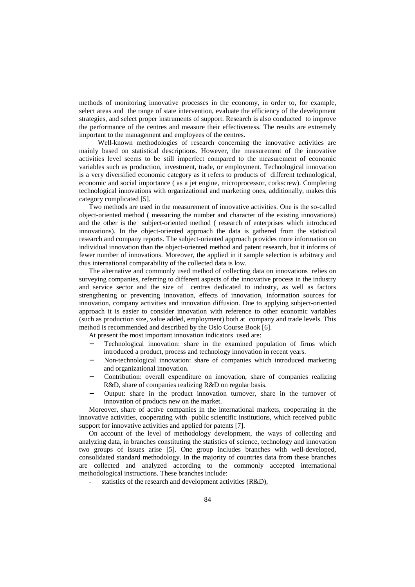methods of monitoring innovative processes in the economy, in order to, for example, select areas and the range of state intervention, evaluate the efficiency of the development strategies, and select proper instruments of support. Research is also conducted to improve the performance of the centres and measure their effectiveness. The results are extremely important to the management and employees of the centres.

Well-known methodologies of research concerning the innovative activities are mainly based on statistical descriptions. However, the measurement of the innovative activities level seems to be still imperfect compared to the measurement of economic variables such as production, investment, trade, or employment. Technological innovation is a very diversified economic category as it refers to products of different technological, economic and social importance ( as a jet engine, microprocessor, corkscrew). Completing technological innovations with organizational and marketing ones, additionally, makes this category complicated [5].

Two methods are used in the measurement of innovative activities. One is the so-called object-oriented method ( measuring the number and character of the existing innovations) and the other is the subject-oriented method ( research of enterprises which introduced innovations). In the object-oriented approach the data is gathered from the statistical research and company reports. The subject-oriented approach provides more information on individual innovation than the object-oriented method and patent research, but it informs of fewer number of innovations. Moreover, the applied in it sample selection is arbitrary and thus international comparability of the collected data is low.

The alternative and commonly used method of collecting data on innovations relies on surveying companies, referring to different aspects of the innovative process in the industry and service sector and the size of centres dedicated to industry, as well as factors strengthening or preventing innovation, effects of innovation, information sources for innovation, company activities and innovation diffusion. Due to applying subject-oriented approach it is easier to consider innovation with reference to other economic variables (such as production size, value added, employment) both at company and trade levels. This method is recommended and described by the Oslo Course Book [6].

At present the most important innovation indicators used are:

- Technological innovation: share in the examined population of firms which introduced a product, process and technology innovation in recent years.
- Non-technological innovation: share of companies which introduced marketing and organizational innovation.
- − Contribution: overall expenditure on innovation, share of companies realizing R&D, share of companies realizing R&D on regular basis.
- − Output: share in the product innovation turnover, share in the turnover of innovation of products new on the market.

Moreover, share of active companies in the international markets, cooperating in the innovative activities, cooperating with public scientific institutions, which received public support for innovative activities and applied for patents [7].

On account of the level of methodology development, the ways of collecting and analyzing data, in branches constituting the statistics of science, technology and innovation two groups of issues arise [5]. One group includes branches with well-developed, consolidated standard methodology. In the majority of countries data from these branches are collected and analyzed according to the commonly accepted international methodological instructions. These branches include:

statistics of the research and development activities (R&D),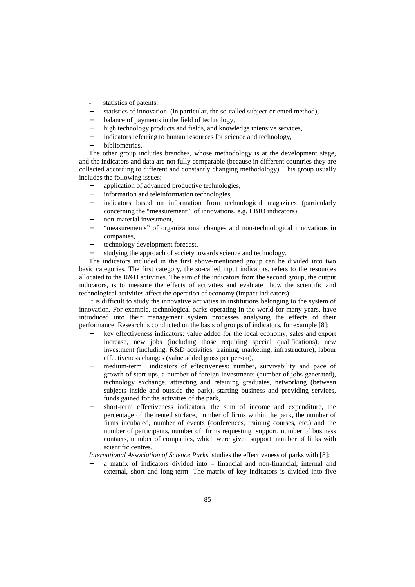- statistics of patents,
- statistics of innovation (in particular, the so-called subject-oriented method),
- balance of payments in the field of technology,
- high technology products and fields, and knowledge intensive services,
- indicators referring to human resources for science and technology,
- − bibliometrics.

The other group includes branches, whose methodology is at the development stage, and the indicators and data are not fully comparable (because in different countries they are collected according to different and constantly changing methodology). This group usually includes the following issues:

- application of advanced productive technologies,
- information and teleinformation technologies,
- indicators based on information from technological magazines (particularly concerning the "measurement": of innovations, e.g. LBIO indicators),
- − non-material investment,
- − "measurements" of organizational changes and non-technological innovations in companies,
- technology development forecast.
- studying the approach of society towards science and technology.

The indicators included in the first above-mentioned group can be divided into two basic categories. The first category, the so-called input indicators, refers to the resources allocated to the R&D activities. The aim of the indicators from the second group, the output indicators, is to measure the effects of activities and evaluate how the scientific and technological activities affect the operation of economy (impact indicators).

It is difficult to study the innovative activities in institutions belonging to the system of innovation. For example, technological parks operating in the world for many years, have introduced into their management system processes analysing the effects of their performance. Research is conducted on the basis of groups of indicators, for example [8]:

- key effectiveness indicators: value added for the local economy, sales and export increase, new jobs (including those requiring special qualifications), new investment (including: R&D activities, training, marketing, infrastructure), labour effectiveness changes (value added gross per person),
- medium-term indicators of effectiveness: number, survivability and pace of growth of start-ups, a number of foreign investments (number of jobs generated), technology exchange, attracting and retaining graduates, networking (between subjects inside and outside the park), starting business and providing services, funds gained for the activities of the park,
- short-term effectiveness indicators, the sum of income and expenditure, the percentage of the rented surface, number of firms within the park, the number of firms incubated, number of events (conferences, training courses, etc.) and the number of participants, number of firms requesting support, number of business contacts, number of companies, which were given support, number of links with scientific centres.

*International Association of Science Parks* studies the effectiveness of parks with [8]:

a matrix of indicators divided into – financial and non-financial, internal and external, short and long-term. The matrix of key indicators is divided into five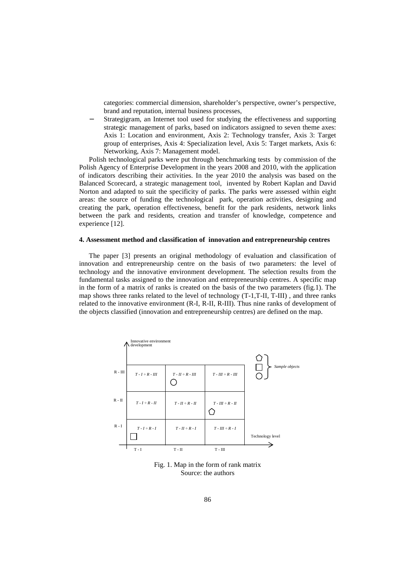categories: commercial dimension, shareholder's perspective, owner's perspective, brand and reputation, internal business processes,

Strategigram, an Internet tool used for studying the effectiveness and supporting strategic management of parks, based on indicators assigned to seven theme axes: Axis 1: Location and environment, Axis 2: Technology transfer, Axis 3: Target group of enterprises, Axis 4: Specialization level, Axis 5: Target markets, Axis 6: Networking, Axis 7: Management model.

Polish technological parks were put through benchmarking tests by commission of the Polish Agency of Enterprise Development in the years 2008 and 2010, with the application of indicators describing their activities. In the year 2010 the analysis was based on the Balanced Scorecard, a strategic management tool, invented by Robert Kaplan and David Norton and adapted to suit the specificity of parks. The parks were assessed within eight areas: the source of funding the technological park, operation activities, designing and creating the park, operation effectiveness, benefit for the park residents, network links between the park and residents, creation and transfer of knowledge, competence and experience [12].

## **4. Assessment method and classification of innovation and entrepreneurship centres**

The paper [3] presents an original methodology of evaluation and classification of innovation and entrepreneurship centre on the basis of two parameters: the level of technology and the innovative environment development. The selection results from the fundamental tasks assigned to the innovation and entrepreneurship centres. A specific map in the form of a matrix of ranks is created on the basis of the two parameters (fig.1). The map shows three ranks related to the level of technology (T-1,T-II, T-III) , and three ranks related to the innovative environment (R-I, R-II, R-III). Thus nine ranks of development of the objects classified (innovation and entrepreneurship centres) are defined on the map.



Fig. 1. Map in the form of rank matrix Source: the authors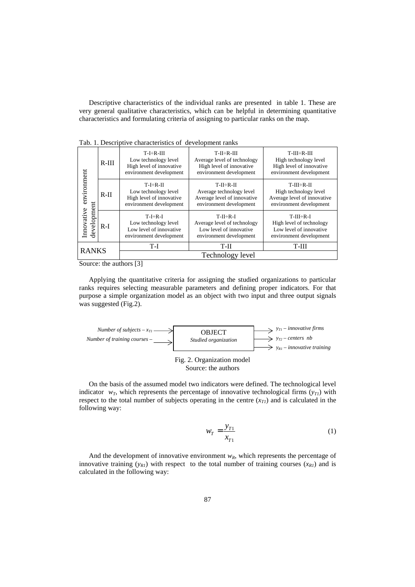Descriptive characteristics of the individual ranks are presented in table 1. These are very general qualitative characteristics, which can be helpful in determining quantitative characteristics and formulating criteria of assigning to particular ranks on the map.

| ruo, 1, Bescriptive enuruotensites or development rums |         |                                                                                                |                                                                                                      |                                                                                                    |  |  |  |  |  |  |
|--------------------------------------------------------|---------|------------------------------------------------------------------------------------------------|------------------------------------------------------------------------------------------------------|----------------------------------------------------------------------------------------------------|--|--|--|--|--|--|
|                                                        | $R-III$ | $T-I\div R-III$<br>Low technology level<br>High level of innovative<br>environment development | $T-II - R-III$<br>Average level of technology<br>High level of innovative<br>environment development | $T-III \div R-III$<br>High technology level<br>High level of innovative<br>environment development |  |  |  |  |  |  |
| environment<br>development<br>Innovative               | $R-II$  | $T-I\div R-II$<br>Low technology level<br>High level of innovative<br>environment development  | $T-H\div R-H$<br>Average technology level<br>Average level of innovative<br>environment development  | $T-III - R-II$<br>High technology level<br>Average level of innovative<br>environment development  |  |  |  |  |  |  |
|                                                        | $R-I$   | $T-I \div R-I$<br>Low technology level<br>Low level of innovative<br>environment development   | $T-II\div R-I$<br>Average level of technology<br>Low level of innovative<br>environment development  | $T-III \div R-I$<br>High level of technology<br>Low level of innovative<br>environment development |  |  |  |  |  |  |
| <b>RANKS</b>                                           |         | T-I                                                                                            | T-II                                                                                                 | T-III                                                                                              |  |  |  |  |  |  |
|                                                        |         | Technology level                                                                               |                                                                                                      |                                                                                                    |  |  |  |  |  |  |

Tab. 1. Descriptive characteristics of development ranks

Source: the authors [3]

Applying the quantitative criteria for assigning the studied organizations to particular ranks requires selecting measurable parameters and defining proper indicators. For that purpose a simple organization model as an object with two input and three output signals was suggested (Fig.2).



On the basis of the assumed model two indicators were defined. The technological level indicator  $w_T$ , which represents the percentage of innovative technological firms  $(y_T)$  with respect to the total number of subjects operating in the centre  $(x_{T1})$  and is calculated in the following way:

$$
w_T = \frac{y_{T1}}{x_{T1}}\tag{1}
$$

And the development of innovative environment  $w_R$ , which represents the percentage of innovative training  $(y_{R1})$  with respect to the total number of training courses  $(x_{R1})$  and is calculated in the following way: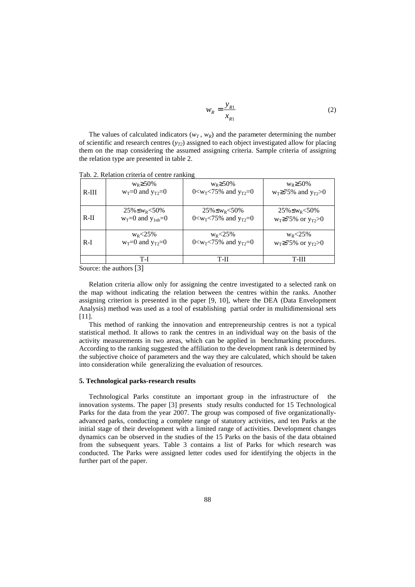$$
w_R = \frac{y_{R1}}{x_{R1}}\tag{2}
$$

The values of calculated indicators ( $w_T$ ,  $w_R$ ) and the parameter determining the number of scientific and research centres  $(y_{T2})$  assigned to each object investigated allow for placing them on the map considering the assumed assigning criteria. Sample criteria of assigning the relation type are presented in table 2.

| $R-III$ | $W_R \geq 50\%$         | $W_R \geq 50\%$                                         | $W_R \geq 50\%$                 |
|---------|-------------------------|---------------------------------------------------------|---------------------------------|
|         | $w_T=0$ and $y_{T2}=0$  | 0 $\langle W_T \times 75\%$ and $V_T \times 20$         | $w_T \ge 75\%$ and $y_{T2} > 0$ |
| $R-II$  | $25\% \leq w_R < 50\%$  | $25\% \leq W_R < 50\%$                                  | $25\% \leq W_R < 50\%$          |
|         | $w_T=0$ and $y_{1nb}=0$ | 0 <w<sub>T &lt; 75% and <math>y_{T2}</math> = 0</w<sub> | $w_T \ge 75\%$ or $y_{T2} > 0$  |
| $R-I$   | $W_R < 25\%$            | $W_R < 25\%$                                            | $W_R < 25\%$                    |
|         | $w_T=0$ and $y_{T2}=0$  | 0 <w<sub>T &lt; 75% and <math>y_{T2}</math> = 0</w<sub> | $w_T \ge 75\%$ or $y_{T2} > 0$  |
|         | T-I                     | T-H                                                     | T-III                           |

Tab. 2. Relation criteria of centre ranking

Source: the authors [3]

Relation criteria allow only for assigning the centre investigated to a selected rank on the map without indicating the relation between the centres within the ranks. Another assigning criterion is presented in the paper [9, 10], where the DEA (Data Envelopment Analysis) method was used as a tool of establishing partial order in multidimensional sets [11].

This method of ranking the innovation and entrepreneurship centres is not a typical statistical method. It allows to rank the centres in an individual way on the basis of the activity measurements in two areas, which can be applied in benchmarking procedures. According to the ranking suggested the affiliation to the development rank is determined by the subjective choice of parameters and the way they are calculated, which should be taken into consideration while generalizing the evaluation of resources.

#### **5. Technological parks-research results**

Technological Parks constitute an important group in the infrastructure of the innovation systems. The paper [3] presents study results conducted for 15 Technological Parks for the data from the year 2007. The group was composed of five organizationallyadvanced parks, conducting a complete range of statutory activities, and ten Parks at the initial stage of their development with a limited range of activities. Development changes dynamics can be observed in the studies of the 15 Parks on the basis of the data obtained from the subsequent years. Table 3 contains a list of Parks for which research was conducted. The Parks were assigned letter codes used for identifying the objects in the further part of the paper.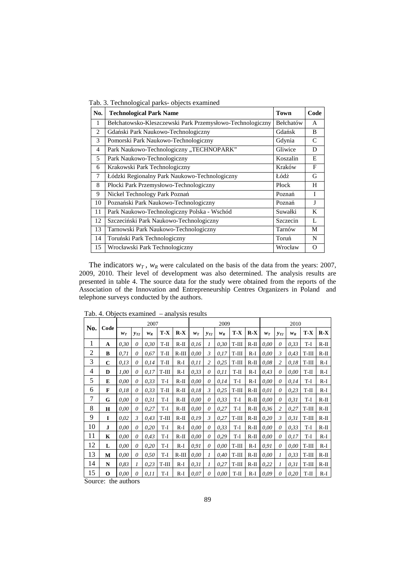|                | Tab. 3. Technological parks- objects examined             |             |               |
|----------------|-----------------------------------------------------------|-------------|---------------|
| No.            | <b>Technological Park Name</b>                            | <b>Town</b> | Code          |
| 1              | Bełchatowsko-Kleszczewski Park Przemysłowo-Technologiczny | Bełchatów   | A             |
| $\overline{c}$ | Gdański Park Naukowo-Technologiczny                       | Gdańsk      | B             |
| 3              | Pomorski Park Naukowo-Technologiczny                      | Gdynia      | $\mathcal{C}$ |
| 4              | Park Naukowo-Technologiczny, TECHNOPARK"                  | Gliwice     | D             |
| 5              | Park Naukowo-Technologiczny                               | Koszalin    | E             |
| 6              | Krakowski Park Technologiczny                             | Kraków      | F             |
| 7              | Łódzki Regionalny Park Naukowo-Technologiczny             | Łódź        | G             |
| 8              | Płocki Park Przemysłowo-Technologiczny                    | Płock       | H             |
| 9              | Nickel Technology Park Poznań                             | Poznań      | T             |
| 10             | Poznański Park Naukowo-Technologiczny                     | Poznań      | J             |
| 11             | Park Naukowo-Technologiczny Polska - Wschód               | Suwałki     | K             |
| 12             | Szczeciński Park Naukowo-Technologiczny                   | Szczecin    | L             |
| 13             | Tarnowski Park Naukowo-Technologiczny                     | Tarnów      | М             |
| 14             | Toruński Park Technologiczny                              | Toruń       | N             |
| 15             | Wrocławski Park Technologiczny                            | Wrocław     | O             |

The indicators  $w_T$ ,  $w_R$  were calculated on the basis of the data from the years: 2007, 2009, 2010. Their level of development was also determined. The analysis results are presented in table 4. The source data for the study were obtained from the reports of the Association of the Innovation and Entrepreneurship Centres Organizers in Poland and telephone surveys conducted by the authors.

| No.         | Code        | 2007  |          |       |         | 2009    |       |                |       |        | 2010   |       |                |       |         |        |
|-------------|-------------|-------|----------|-------|---------|---------|-------|----------------|-------|--------|--------|-------|----------------|-------|---------|--------|
|             |             | $W_T$ | $y_{T2}$ | $W_R$ | $T - X$ | $R-X$   | $W_T$ | $y_{T2}$       | $W_R$ | T-X    | $R-X$  | $W_T$ | $v_{T2}$       | $W_R$ | $T - X$ | $R-X$  |
| $\mathbf 1$ | A           | 0.30  | $\theta$ | 0,30  | T-II    | $R-II$  | 0,16  | 1              | 0,30  | T-III  | $R-II$ | 0.00  | $\theta$       | 0,33  | T-I     | $R-II$ |
| 2           | B           | 0.71  | $\theta$ | 0,67  | T-II    | $R-III$ | 0.00  | 3              | 0.17  | T-III  | R-I    | 0,00  | 3              | 0,43  | T-III   | $R-II$ |
| 3           | $\mathbf C$ | 0.13  | 0        | 0,14  | T-II    | $R-I$   | 0.11  | $\overline{c}$ | 0.25  | T-III  | $R-II$ | 0.08  | $\overline{c}$ | 0,18  | T-III   | $R-I$  |
| 4           | D           | 1.00  | $\theta$ | 0.17  | $T-III$ | $R-I$   | 0.33  | 0              | 0.11  | $T-II$ | $R-I$  | 0,43  | $\theta$       | 0,00  | $T-II$  | $R-I$  |
| 5           | E           | 0,00  | 0        | 0,33  | T-I     | $R-II$  | 0,00  | 0              | 0,14  | T-I    | R-I    | 0,00  | $\theta$       | 0,14  | T-I     | R-I    |
| 6           | F           | 0.18  | $\theta$ | 0.33  | T-II    | $R-II$  | 0.18  | 3              | 0.25  | T-III  | R-II   | 0.01  | $\theta$       | 0,23  | T-II    | R-I    |
| 7           | G           | 0,00  | $\theta$ | 0,31  | T-I     | $R-II$  | 0,00  | $\theta$       | 0,33  | T-I    | $R-II$ | 0,00  | $\theta$       | 0,31  | T-I     | $R-II$ |
| 8           | H           | 0,00  | $\theta$ | 0,27  | T-I     | $R-II$  | 0,00  | 0              | 0,27  | T-I    | $R-II$ | 0,36  | $\overline{c}$ | 0,27  | $T-III$ | $R-II$ |
| 9           | I           | 0,02  | 3        | 0,43  | $T-III$ | $R-II$  | 0.19  | 3              | 0,27  | T-III  | $R-II$ | 0,20  | 3              | 0,31  | T-III   | R-II   |
| 10          | J           | 0,00  | $\theta$ | 0,20  | T-I     | $R-I$   | 0,00  | $\theta$       | 0,33  | T-I    | R-II   | 0,00  | 0              | 0,33  | T-I     | $R-II$ |
| 11          | $\mathbf K$ | 0,00  | $\theta$ | 0,43  | T-I     | $R-II$  | 0,00  | 0              | 0,29  | T-I    | R-II   | 0,00  | $\theta$       | 0,17  | T-I     | R-I    |
| 12          | L           | 0,00  | $\theta$ | 0,20  | T-I     | $R-I$   | 0,91  | 0              | 0,00  | T-III  | $R-I$  | 0,91  | 0              | 0,00  | T-III   | $R-I$  |
| 13          | М           | 0,00  | $\theta$ | 0,50  | T-I     | $R-III$ | 0,00  | $\mathcal{I}$  | 0,40  | T-III  | $R-H$  | 0,00  | 1              | 0,33  | T-III   | $R-H$  |
| 14          | $\mathbf N$ | 0.83  | 1        | 0,23  | $T-III$ | $R-I$   | 0,31  | 1              | 0,27  | T-III  | $R-II$ | 0,22  | 1              | 0,31  | $T-III$ | $R-II$ |
| 15          | $\mathbf 0$ | 0,00  | $\theta$ | 0,11  | T-I     | R-I     | 0,07  | 0              | 0,00  | $T-II$ | $R-I$  | 0.09  | 0              | 0,20  | $T-II$  | $R-I$  |

Tab. 4. Objects examined – analysis results

Source: the authors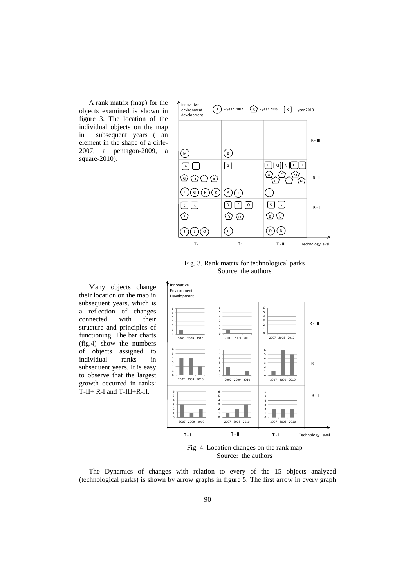A rank matrix (map) for the objects examined is shown in figure 3. The location of the individual objects on the map in subsequent years ( an element in the shape of a cirle-2007, a pentagon-2009, a square-2010).



Fig. 3. Rank matrix for technological parks Source: the authors

Many objects change their location on the map in subsequent years, which is a reflection of changes connected with their structure and principles of functioning. The bar charts (fig.4) show the numbers of objects assigned to individual ranks in subsequent years. It is easy to observe that the largest growth occurred in ranks: T-II÷ R-I and T-III÷R-II.



Fig. 4. Location changes on the rank map Source: the authors

The Dynamics of changes with relation to every of the 15 objects analyzed (technological parks) is shown by arrow graphs in figure 5. The first arrow in every graph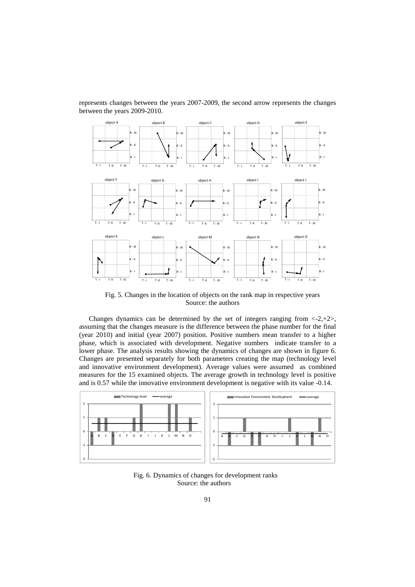represents changes between the years 2007-2009, the second arrow represents the changes between the years 2009-2010.



Fig. 5. Changes in the location of objects on the rank map in respective years Source: the authors

Changes dynamics can be determined by the set of integers ranging from  $\langle -2, +2 \rangle$ , assuming that the changes measure is the difference between the phase number for the final (year 2010) and initial (year 2007) position. Positive numbers mean transfer to a higher phase, which is associated with development. Negative numbers indicate transfer to a lower phase. The analysis results showing the dynamics of changes are shown in figure 6. Changes are presented separately for both parameters creating the map (technology level and innovative environment development). Average values were assumed as combined measures for the 15 examined objects. The average growth in technology level is positive and is 0.57 while the innovative environment development is negative with its value -0.14.



Fig. 6. Dynamics of changes for development ranks Source: the authors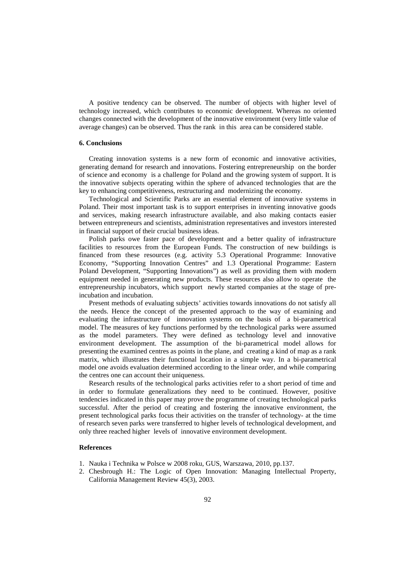A positive tendency can be observed. The number of objects with higher level of technology increased, which contributes to economic development. Whereas no oriented changes connected with the development of the innovative environment (very little value of average changes) can be observed. Thus the rank in this area can be considered stable.

# **6. Conclusions**

Creating innovation systems is a new form of economic and innovative activities, generating demand for research and innovations. Fostering entrepreneurship on the border of science and economy is a challenge for Poland and the growing system of support. It is the innovative subjects operating within the sphere of advanced technologies that are the key to enhancing competitiveness, restructuring and modernizing the economy.

Technological and Scientific Parks are an essential element of innovative systems in Poland. Their most important task is to support enterprises in inventing innovative goods and services, making research infrastructure available, and also making contacts easier between entrepreneurs and scientists, administration representatives and investors interested in financial support of their crucial business ideas.

Polish parks owe faster pace of development and a better quality of infrastructure facilities to resources from the European Funds. The construction of new buildings is financed from these resources (e.g. activity 5.3 Operational Programme: Innovative Economy, "Supporting Innovation Centres" and 1.3 Operational Programme: Eastern Poland Development, "Supporting Innovations") as well as providing them with modern equipment needed in generating new products. These resources also allow to operate the entrepreneurship incubators, which support newly started companies at the stage of preincubation and incubation.

Present methods of evaluating subjects' activities towards innovations do not satisfy all the needs. Hence the concept of the presented approach to the way of examining and evaluating the infrastructure of innovation systems on the basis of a bi-parametrical model. The measures of key functions performed by the technological parks were assumed as the model parameters. They were defined as technology level and innovative environment development. The assumption of the bi-parametrical model allows for presenting the examined centres as points in the plane, and creating a kind of map as a rank matrix, which illustrates their functional location in a simple way. In a bi-parametrical model one avoids evaluation determined according to the linear order, and while comparing the centres one can account their uniqueness.

Research results of the technological parks activities refer to a short period of time and in order to formulate generalizations they need to be continued. However, positive tendencies indicated in this paper may prove the programme of creating technological parks successful. After the period of creating and fostering the innovative environment, the present technological parks focus their activities on the transfer of technology- at the time of research seven parks were transferred to higher levels of technological development, and only three reached higher levels of innovative environment development.

### **References**

- 1. Nauka i Technika w Polsce w 2008 roku, GUS, Warszawa, 2010, pp.137.
- 2. Chesbrough H.: The Logic of Open Innovation: Managing Intellectual Property, California Management Review 45(3), 2003.